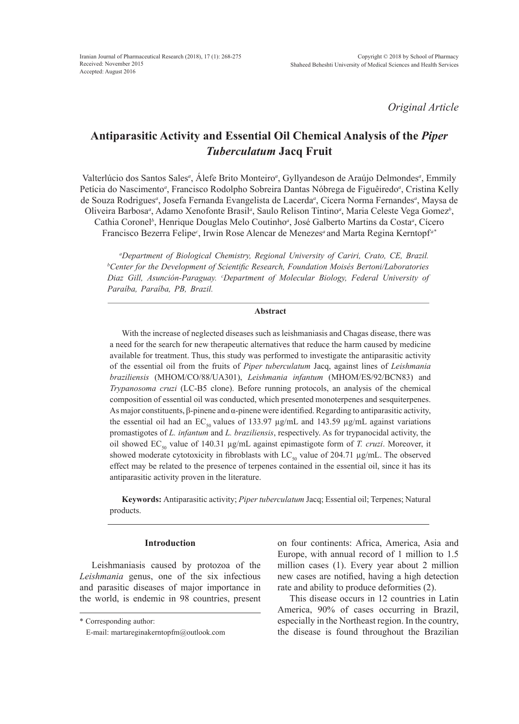*Original Article*

# **Antiparasitic Activity and Essential Oil Chemical Analysis of the** *Piper Tuberculatum* **Jacq Fruit**

Valterlúcio dos Santos Sales<sup>a</sup>, Alefe Brito Monteiro<sup>a</sup>, Gyllyandeson de Araújo Delmondes<sup>a</sup>, Emmily Petícia do Nascimento<sup>a</sup>, Francisco Rodolpho Sobreira Dantas Nóbrega de Figuêiredo<sup>a</sup>, Cristina Kelly de Souza Rodrigues*<sup>a</sup>* , Josefa Fernanda Evangelista de Lacerda*<sup>a</sup>* , Cícera Norma Fernandes*<sup>a</sup>* , Maysa de Oliveira Barbosa*<sup>a</sup>* , Adamo Xenofonte Brasil*<sup>a</sup>* , Saulo Relison Tintino*<sup>a</sup>* , Maria Celeste Vega Gomez*<sup>b</sup>* , Cathia Coronel<sup>b</sup>, Henrique Douglas Melo Coutinho<sup>a</sup>, José Galberto Martins da Costa<sup>a</sup>, Cícero Francisco Bezerra Felipe<sup>c</sup>, Irwin Rose Alencar de Menezes<sup>*a*</sup> and Marta Regina Kerntopf<sup>a\*</sup>

<sup>a</sup>Department of Biological Chemistry, Regional University of Cariri, Crato, CE, Brazil.<br><sup>b</sup>Center for the Development of Scientific Research, Foundation Moisés Bertoni/Laboratories *Center for the Development of Scientific Research, Foundation Moisés Bertoni/Laboratories Diaz Gill, Asunción-Paraguay. <sup>c</sup> Department of Molecular Biology, Federal University of Paraíba, Paraíba, PB, Brazil.*

#### **Abstract**

With the increase of neglected diseases such as leishmaniasis and Chagas disease, there was a need for the search for new therapeutic alternatives that reduce the harm caused by medicine available for treatment. Thus, this study was performed to investigate the antiparasitic activity of the essential oil from the fruits of *Piper tuberculatum* Jacq, against lines of *Leishmania braziliensis* (MHOM/CO/88/UA301), *Leishmania infantum* (MHOM/ES/92/BCN83) and *Trypanosoma cruzi* (LC-B5 clone). Before running protocols, an analysis of the chemical composition of essential oil was conducted, which presented monoterpenes and sesquiterpenes. As major constituents, β-pinene and α-pinene were identified. Regarding to antiparasitic activity, the essential oil had an  $EC_{50}$  values of 133.97  $\mu$ g/mL and 143.59  $\mu$ g/mL against variations promastigotes of *L. infantum* and *L. braziliensis*, respectively. As for trypanocidal activity, the oil showed  $EC_{50}$  value of 140.31  $\mu$ g/mL against epimastigote form of *T. cruzi*. Moreover, it showed moderate cytotoxicity in fibroblasts with  $LC_{50}$  value of 204.71  $\mu$ g/mL. The observed effect may be related to the presence of terpenes contained in the essential oil, since it has its antiparasitic activity proven in the literature.

**Keywords:** Antiparasitic activity; *Piper tuberculatum* Jacq; Essential oil; Terpenes; Natural products.

# **Introduction**

Leishmaniasis caused by protozoa of the *Leishmania* genus, one of the six infectious and parasitic diseases of major importance in the world, is endemic in 98 countries, present on four continents: Africa, America, Asia and Europe, with annual record of 1 million to 1.5 million cases (1). Every year about 2 million new cases are notified, having a high detection rate and ability to produce deformities (2).

This disease occurs in 12 countries in Latin America, 90% of cases occurring in Brazil, especially in the Northeast region. In the country, the disease is found throughout the Brazilian

<sup>\*</sup> Corresponding author:

E-mail: martareginakerntopfm@outlook.com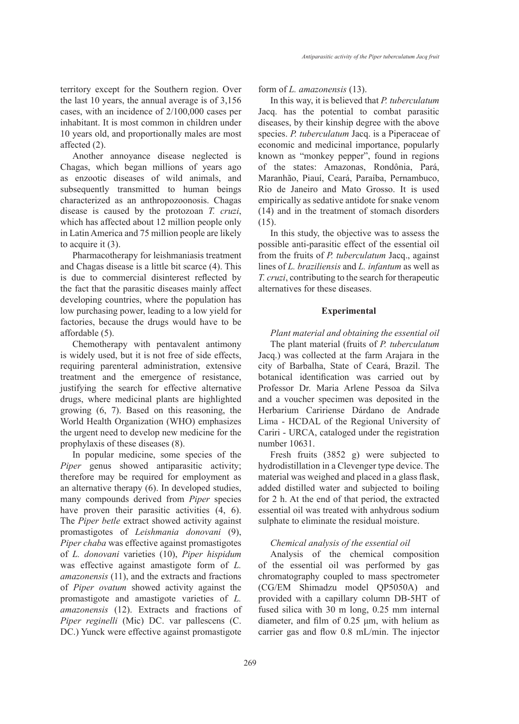territory except for the Southern region. Over the last 10 years, the annual average is of 3,156 cases, with an incidence of 2/100,000 cases per inhabitant. It is most common in children under 10 years old, and proportionally males are most affected (2).

Another annoyance disease neglected is Chagas, which began millions of years ago as enzootic diseases of wild animals, and subsequently transmitted to human beings characterized as an anthropozoonosis. Chagas disease is caused by the protozoan *T. cruzi*, which has affected about 12 million people only in Latin America and 75 million people are likely to acquire it (3).

Pharmacotherapy for leishmaniasis treatment and Chagas disease is a little bit scarce (4). This is due to commercial disinterest reflected by the fact that the parasitic diseases mainly affect developing countries, where the population has low purchasing power, leading to a low yield for factories, because the drugs would have to be affordable (5).

Chemotherapy with pentavalent antimony is widely used, but it is not free of side effects, requiring parenteral administration, extensive treatment and the emergence of resistance, justifying the search for effective alternative drugs, where medicinal plants are highlighted growing (6, 7). Based on this reasoning, the World Health Organization (WHO) emphasizes the urgent need to develop new medicine for the prophylaxis of these diseases (8).

In popular medicine, some species of the *Piper* genus showed antiparasitic activity; therefore may be required for employment as an alternative therapy (6). In developed studies, many compounds derived from *Piper* species have proven their parasitic activities  $(4, 6)$ . The *Piper betle* extract showed activity against promastigotes of *Leishmania donovani* (9), *Piper chaba* was effective against promastigotes of *L. donovani* varieties (10), *Piper hispidum* was effective against amastigote form of *L. amazonensis* (11), and the extracts and fractions of *Piper ovatum* showed activity against the promastigote and amastigote varieties of *L. amazonensis* (12). Extracts and fractions of *Piper reginelli* (Mic) DC. var pallescens (C. DC.) Yunck were effective against promastigote form of *L. amazonensis* (13).

In this way, it is believed that *P. tuberculatum* Jacq. has the potential to combat parasitic diseases, by their kinship degree with the above species. *P. tuberculatum* Jacq. is a Piperaceae of economic and medicinal importance, popularly known as "monkey pepper", found in regions of the states: Amazonas, Rondônia, Pará, Maranhão, Piauí, Ceará, Paraíba, Pernambuco, Rio de Janeiro and Mato Grosso. It is used empirically as sedative antidote for snake venom (14) and in the treatment of stomach disorders (15).

In this study, the objective was to assess the possible anti-parasitic effect of the essential oil from the fruits of *P. tuberculatum* Jacq., against lines of *L. braziliensis* and *L. infantum* as well as *T. cruzi*, contributing to the search for therapeutic alternatives for these diseases.

#### **Experimental**

*Plant material and obtaining the essential oil* The plant material (fruits of *P. tuberculatum* Jacq.) was collected at the farm Arajara in the city of Barbalha, State of Ceará, Brazil. The botanical identification was carried out by Professor Dr. Maria Arlene Pessoa da Silva and a voucher specimen was deposited in the Herbarium Caririense Dárdano de Andrade Lima - HCDAL of the Regional University of Cariri - URCA, cataloged under the registration number 10631.

Fresh fruits (3852 g) were subjected to hydrodistillation in a Clevenger type device. The material was weighed and placed in a glass flask, added distilled water and subjected to boiling for 2 h. At the end of that period, the extracted essential oil was treated with anhydrous sodium sulphate to eliminate the residual moisture.

# *Chemical analysis of the essential oil*

Analysis of the chemical composition of the essential oil was performed by gas chromatography coupled to mass spectrometer (CG/EM Shimadzu model QP5050A) and provided with a capillary column DB-5HT of fused silica with 30 m long, 0.25 mm internal diameter, and film of 0.25 μm, with helium as carrier gas and flow 0.8 mL/min. The injector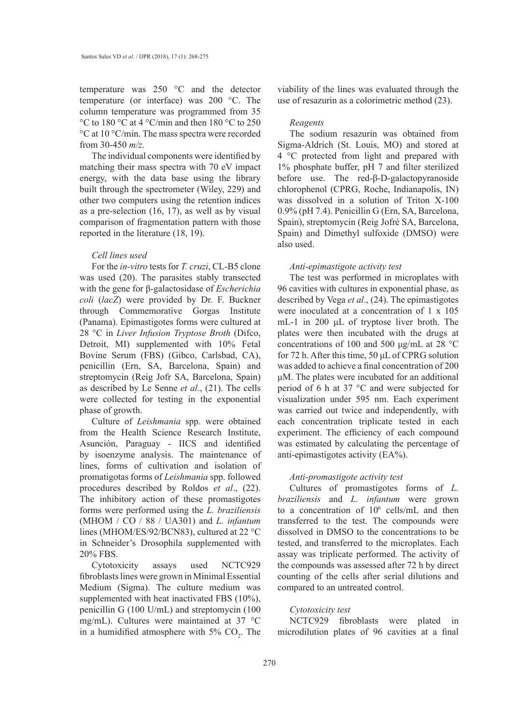temperature was 250 °C and the detector temperature (or interface) was 200 °C. The column temperature was programmed from 35 °C to 180 °C at 4 °C/min and then 180 °C to 250 °C at 10 °C/min. The mass spectra were recorded from 30-450 *m/z*.

The individual components were identified by matching their mass spectra with 70 eV impact energy, with the data base using the library built through the spectrometer (Wiley, 229) and other two computers using the retention indices as a pre-selection (16, 17), as well as by visual comparison of fragmentation pattern with those reported in the literature (18, 19).

#### *Cell lines used*

For the *in-vitro* tests for *T. cruzi*, CL-B5 clone was used (20). The parasites stably transected with the gene for β-galactosidase of *Escherichia coli* (*lacZ*) were provided by Dr. F. Buckner through Commemorative Gorgas Institute (Panama). Epimastigotes forms were cultured at 28 °C in *Liver Infusion Tryptose Broth* (Difco, Detroit, MI) supplemented with 10% Fetal Bovine Serum (FBS) (Gibco, Carlsbad, CA), penicillin (Ern, SA, Barcelona, Spain) and streptomycin (Reig Jofr SA, Barcelona, Spain) as described by Le Senne *et al*., (21). The cells were collected for testing in the exponential phase of growth.

Culture of *Leishmania* spp. were obtained from the Health Science Research Institute, Asunción, Paraguay - IICS and identified by isoenzyme analysis. The maintenance of lines, forms of cultivation and isolation of promatigotas forms of *Leishmania* spp. followed procedures described by Roldos *et al*., (22). The inhibitory action of these promastigotes forms were performed using the *L. braziliensis* (MHOM / CO / 88 / UA301) and *L. infantum* lines (MHOM/ES/92/BCN83), cultured at 22 °C in Schneider's Drosophila supplemented with 20% FBS.

Cytotoxicity assays used NCTC929 fibroblasts lines were grown in Minimal Essential Medium (Sigma). The culture medium was supplemented with heat inactivated FBS (10%), penicillin G (100 U/mL) and streptomycin (100 mg/mL). Cultures were maintained at 37 °C in a humidified atmosphere with  $5\%$  CO<sub>2</sub>. The viability of the lines was evaluated through the use of resazurin as a colorimetric method (23).

#### *Reagents*

The sodium resazurin was obtained from Sigma-Aldrich (St. Louis, MO) and stored at 4 °C protected from light and prepared with 1% phosphate buffer, pH 7 and filter sterilized before use. The red-β-D-galactopyranoside chlorophenol (CPRG, Roche, Indianapolis, IN) was dissolved in a solution of Triton X-100 0.9% (pH 7.4). Penicillin G (Ern, SA, Barcelona, Spain), streptomycin (Reig Jofré SA, Barcelona, Spain) and Dimethyl sulfoxide (DMSO) were also used.

#### *Anti-epimastigote activity test*

The test was performed in microplates with 96 cavities with cultures in exponential phase, as described by Vega *et al*., (24). The epimastigotes were inoculated at a concentration of 1 x 105 mL-1 in 200 μL of tryptose liver broth. The plates were then incubated with the drugs at concentrations of 100 and 500 μg/mL at 28 °C for 72 h. After this time, 50 μL of CPRG solution was added to achieve a final concentration of 200 μM. The plates were incubated for an additional period of 6 h at 37 °C and were subjected for visualization under 595 nm. Each experiment was carried out twice and independently, with each concentration triplicate tested in each experiment. The efficiency of each compound was estimated by calculating the percentage of anti-epimastigotes activity (EA%).

#### *Anti-promastigote activity test*

Cultures of promastigotes forms of *L. braziliensis* and *L. infantum* were grown to a concentration of 10<sup>6</sup> cells/mL and then transferred to the test. The compounds were dissolved in DMSO to the concentrations to be tested, and transferred to the microplates. Each assay was triplicate performed. The activity of the compounds was assessed after 72 h by direct counting of the cells after serial dilutions and compared to an untreated control.

#### *Cytotoxicity test*

NCTC929 fibroblasts were plated in microdilution plates of 96 cavities at a final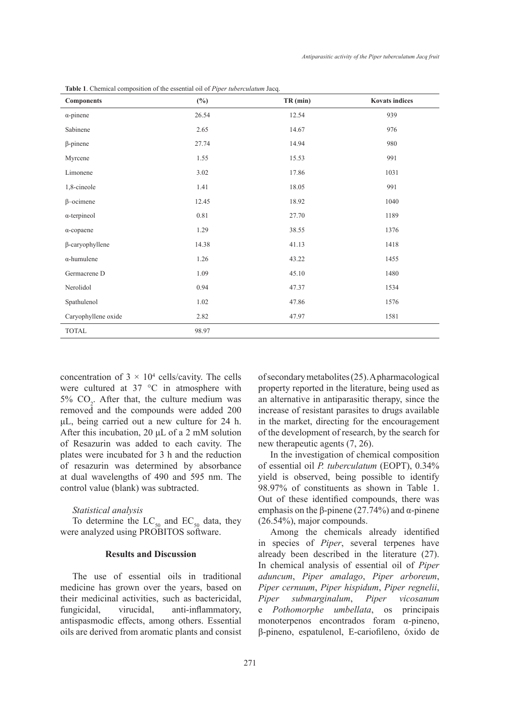| <b>Components</b>      | $(\%)$ | $TR$ (min) | <b>Kovats indices</b> |
|------------------------|--------|------------|-----------------------|
| $\alpha$ -pinene       | 26.54  | 12.54      | 939                   |
| Sabinene               | 2.65   | 14.67      | 976                   |
| $\beta$ -pinene        | 27.74  | 14.94      | 980                   |
| Myrcene                | 1.55   | 15.53      | 991                   |
| Limonene               | 3.02   | 17.86      | 1031                  |
| 1,8-cineole            | 1.41   | 18.05      | 991                   |
| $\beta$ -ocimene       | 12.45  | 18.92      | 1040                  |
| $\alpha$ -terpineol    | 0.81   | 27.70      | 1189                  |
| $\alpha$ -copaene      | 1.29   | 38.55      | 1376                  |
| $\beta$ -caryophyllene | 14.38  | 41.13      | 1418                  |
| $\alpha$ -humulene     | 1.26   | 43.22      | 1455                  |
| Germacrene D           | 1.09   | 45.10      | 1480                  |
| Nerolidol              | 0.94   | 47.37      | 1534                  |
| Spathulenol            | 1.02   | 47.86      | 1576                  |
| Caryophyllene oxide    | 2.82   | 47.97      | 1581                  |
| <b>TOTAL</b>           | 98.97  |            |                       |

**Table 1**. Chemical composition of the essential oil of *Piper tuberculatum* Jacq.

concentration of  $3 \times 10^4$  cells/cavity. The cells were cultured at 37 °C in atmosphere with 5%  $CO<sub>2</sub>$ . After that, the culture medium was removed and the compounds were added 200 μL, being carried out a new culture for 24 h. After this incubation, 20 μL of a 2 mM solution of Resazurin was added to each cavity. The plates were incubated for 3 h and the reduction of resazurin was determined by absorbance at dual wavelengths of 490 and 595 nm. The control value (blank) was subtracted.

## *Statistical analysis*

To determine the  $LC_{50}$  and  $EC_{50}$  data, they were analyzed using PROBITOS software.

### **Results and Discussion**

The use of essential oils in traditional medicine has grown over the years, based on their medicinal activities, such as bactericidal, fungicidal, virucidal, anti-inflammatory, antispasmodic effects, among others. Essential oils are derived from aromatic plants and consist of secondary metabolites (25). A pharmacological property reported in the literature, being used as an alternative in antiparasitic therapy, since the increase of resistant parasites to drugs available in the market, directing for the encouragement of the development of research, by the search for new therapeutic agents (7, 26).

In the investigation of chemical composition of essential oil *P. tuberculatum* (EOPT), 0.34% yield is observed, being possible to identify 98.97% of constituents as shown in Table 1. Out of these identified compounds, there was emphasis on the β-pinene (27.74%) and α-pinene (26.54%), major compounds.

Among the chemicals already identified in species of *Piper*, several terpenes have already been described in the literature (27). In chemical analysis of essential oil of *Piper aduncum*, *Piper amalago*, *Piper arboreum*, *Piper cernuum*, *Piper hispidum*, *Piper regnelii*, *Piper submarginalum*, *Piper vicosanum*  e *Pothomorphe umbellata*, os principais monoterpenos encontrados foram α-pineno, β-pineno, espatulenol, E-cariofileno, óxido de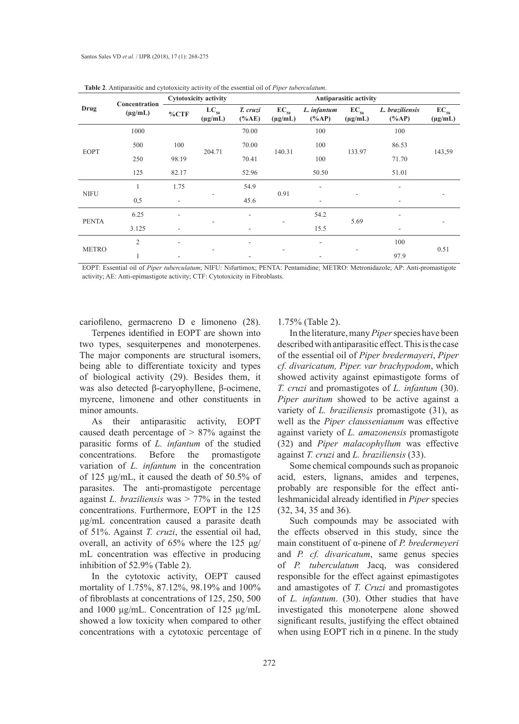| Drug         | Concentration<br>$(\mu g/mL)$ | Cytotoxicity activity    |                           | Antiparasitic activity |                           |                         |                           |                             |                           |
|--------------|-------------------------------|--------------------------|---------------------------|------------------------|---------------------------|-------------------------|---------------------------|-----------------------------|---------------------------|
|              |                               | %CTF                     | $LC_{50}$<br>$(\mu g/mL)$ | T. cruzi<br>$(\%AE)$   | $EC_{50}$<br>$(\mu g/mL)$ | L. infantum<br>$(\%AP)$ | $EC_{50}$<br>$(\mu g/mL)$ | L. braziliensis<br>$(\%AP)$ | $EC_{50}$<br>$(\mu g/mL)$ |
| <b>EOPT</b>  | 1000                          |                          | 204.71                    | 70.00                  | 140.31                    | 100                     | 133.97                    | 100                         | 143,59                    |
|              | 500                           | 100                      |                           | 70.00                  |                           | 100                     |                           | 86.53                       |                           |
|              | 250                           | 98.19                    |                           | 70.41                  |                           | 100                     |                           | 71.70                       |                           |
|              | 125                           | 82.17                    |                           | 52.96                  |                           | 50.50                   |                           | 51.01                       |                           |
| <b>NIFU</b>  |                               | 1.75                     |                           | 54.9                   | 0.91                      | ۰                       | -                         |                             |                           |
|              | 0,5                           | $\overline{\phantom{a}}$ |                           | 45.6                   |                           | ۰                       |                           |                             |                           |
| <b>PENTA</b> | 6.25                          |                          |                           | ٠                      |                           | 54.2                    | 5.69                      |                             |                           |
|              | 3.125                         |                          |                           |                        |                           | 15.5                    |                           |                             |                           |
| <b>METRO</b> | $\overline{2}$                |                          |                           |                        |                           |                         | ۰                         | 100                         | 0.51                      |
|              |                               |                          |                           |                        |                           |                         |                           | 97.9                        |                           |

**Table 2**. Antiparasitic and cytotoxicity activity of the essential oil of *Piper tuberculatum*.

EOPT: Essential oil of *Piper tuberculatum*; NIFU: Nifurtimox; PENTA: Pentamidine; METRO: Metronidazole; AP: Anti-promastigote activity; AE: Anti-epimastigote activity; CTF: Cytotoxicity in Fibroblasts.

cariofileno, germacreno D e limoneno (28).

Terpenes identified in EOPT are shown into two types, sesquiterpenes and monoterpenes. The major components are structural isomers, being able to differentiate toxicity and types of biological activity (29). Besides them, it was also detected β-caryophyllene, β-ocimene, myrcene, limonene and other constituents in minor amounts.

As their antiparasitic activity, EOPT caused death percentage of > 87% against the parasitic forms of *L. infantum* of the studied concentrations. Before the promastigote variation of *L. infantum* in the concentration of 125 μg/mL, it caused the death of 50.5% of parasites. The anti-promastigote percentage against *L. braziliensis* was > 77% in the tested concentrations. Furthermore, EOPT in the 125 μg/mL concentration caused a parasite death of 51%. Against *T. cruzi*, the essential oil had, overall, an activity of 65% where the 125 μg/ mL concentration was effective in producing inhibition of 52.9% (Table 2).

In the cytotoxic activity, OEPT caused mortality of 1.75%, 87.12%, 98.19% and 100% of fibroblasts at concentrations of 125, 250, 500 and 1000 μg/mL. Concentration of 125 μg/mL showed a low toxicity when compared to other concentrations with a cytotoxic percentage of 1.75% (Table 2).

In the literature, many *Piper* species have been described with antiparasitic effect. This is the case of the essential oil of *Piper bredermayeri*, *Piper cf. divaricatum, Piper. var brachypodom*, which showed activity against epimastigote forms of *T. cruzi* and promastigotes of *L. infantum* (30). *Piper auritum* showed to be active against a variety of *L. braziliensis* promastigote (31), as well as the *Piper claussenianum* was effective against variety of *L. amazonensis* promastigote (32) and *Piper malacophyllum* was effective against *T. cruzi* and *L. braziliensis* (33).

Some chemical compounds such as propanoic acid, esters, lignans, amides and terpenes, probably are responsible for the effect antileshmanicidal already identified in *Piper* species (32, 34, 35 and 36).

Such compounds may be associated with the effects observed in this study, since the main constituent of α-pinene of *P. bredermeyeri* and *P. cf. divaricatum*, same genus species of *P. tuberculatum* Jacq, was considered responsible for the effect against epimastigotes and amastigotes of *T. Cruzi* and promastigotes of *L. infantum*. (30). Other studies that have investigated this monoterpene alone showed significant results, justifying the effect obtained when using EOPT rich in  $\alpha$  pinene. In the study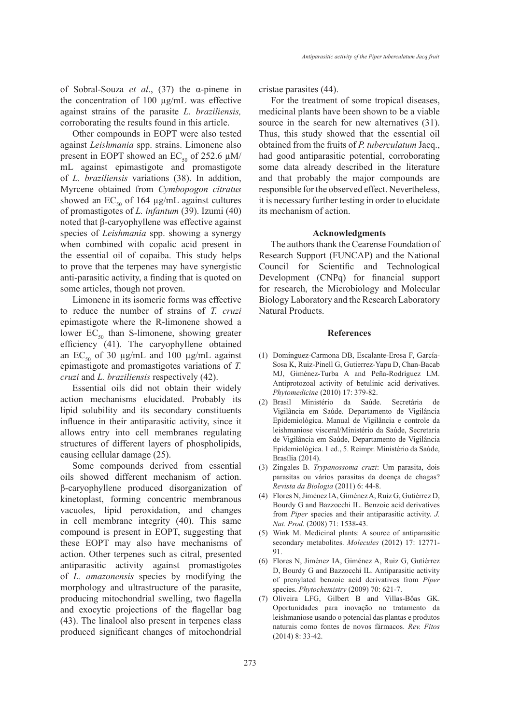of Sobral-Souza *et al*., (37) the α-pinene in the concentration of 100 µg/mL was effective against strains of the parasite *L. braziliensis,* corroborating the results found in this article.

Other compounds in EOPT were also tested against *Leishmania* spp. strains. Limonene also present in EOPT showed an EC<sub>50</sub> of 252.6  $\mu$ M/ mL against epimastigote and promastigote of *L. braziliensis* variations (38). In addition, Myrcene obtained from *Cymbopogon citratus* showed an  $EC_{50}$  of 164  $\mu$ g/mL against cultures of promastigotes of *L. infantum* (39). Izumi (40) noted that β-caryophyllene was effective against species of *Leishmania* spp. showing a synergy when combined with copalic acid present in the essential oil of copaiba. This study helps to prove that the terpenes may have synergistic anti-parasitic activity, a finding that is quoted on some articles, though not proven.

Limonene in its isomeric forms was effective to reduce the number of strains of *T. cruzi* epimastigote where the R-limonene showed a lower  $EC_{50}$  than S-limonene, showing greater efficiency (41). The caryophyllene obtained an EC<sub>50</sub> of 30  $\mu$ g/mL and 100  $\mu$ g/mL against epimastigote and promastigotes variations of *T. cruzi* and *L. braziliensis* respectively (42).

Essential oils did not obtain their widely action mechanisms elucidated. Probably its lipid solubility and its secondary constituents influence in their antiparasitic activity, since it allows entry into cell membranes regulating structures of different layers of phospholipids, causing cellular damage (25).

Some compounds derived from essential oils showed different mechanism of action. β-caryophyllene produced disorganization of kinetoplast, forming concentric membranous vacuoles, lipid peroxidation, and changes in cell membrane integrity (40). This same compound is present in EOPT, suggesting that these EOPT may also have mechanisms of action. Other terpenes such as citral, presented antiparasitic activity against promastigotes of *L. amazonensis* species by modifying the morphology and ultrastructure of the parasite, producing mitochondrial swelling, two flagella and exocytic projections of the flagellar bag (43). The linalool also present in terpenes class produced significant changes of mitochondrial cristae parasites (44).

For the treatment of some tropical diseases, medicinal plants have been shown to be a viable source in the search for new alternatives (31). Thus, this study showed that the essential oil obtained from the fruits of *P. tuberculatum* Jacq., had good antiparasitic potential, corroborating some data already described in the literature and that probably the major compounds are responsible for the observed effect. Nevertheless, it is necessary further testing in order to elucidate its mechanism of action.

#### **Acknowledgments**

The authors thank the Cearense Foundation of Research Support (FUNCAP) and the National Council for Scientific and Technological Development (CNPq) for financial support for research, the Microbiology and Molecular Biology Laboratory and the Research Laboratory Natural Products.

#### **References**

- (1) Domínguez-Carmona DB, Escalante-Erosa F, García-Sosa K, Ruiz-Pinell G, Gutierrez-Yapu D, Chan-Bacab MJ, Giménez-Turba A and Peña-Rodríguez LM. Antiprotozoal activity of betulinic acid derivatives. *Phytomedicine* (2010) 17: 379-82.
- Brasil Ministério da Saúde. Secretária de (2) Vigilância em Saúde. Departamento de Vigilância Epidemiológica. Manual de Vigilância e controle da leishmaniose visceral/Ministério da Saúde, Secretaria de Vigilância em Saúde, Departamento de Vigilância Epidemiológica. 1 ed., 5. Reimpr. Ministério da Saúde, Brasília (2014).
- Zingales B. *Trypanossoma cruzi*: Um parasita, dois (3) parasitas ou vários parasitas da doença de chagas? *Revista da Biologia* (2011) 6: 44-8.
- Flores N, Jiménez IA, Giménez A, Ruiz G, Gutiérrez D, (4) Bourdy G and Bazzocchi IL. Benzoic acid derivatives from *Piper* species and their antiparasitic activity. *J. Nat. Prod.* (2008) 71: 1538-43.
- Wink M. Medicinal plants: A source of antiparasitic (5) secondary metabolites. *Molecules* (2012) 17: 12771- 91.
- Flores N, Jiménez IA, Giménez A, Ruiz G, Gutiérrez (6) D, Bourdy G and Bazzocchi IL. Antiparasitic activity of prenylated benzoic acid derivatives from *Piper* species. *Phytochemistry* (2009) 70: 621-7.
- (7) Oliveira LFG, Gilbert B and Villas-Bôas GK. Oportunidades para inovação no tratamento da leishmaniose usando o potencial das plantas e produtos naturais como fontes de novos fármacos. *Rev. Fitos* (2014) 8: 33-42.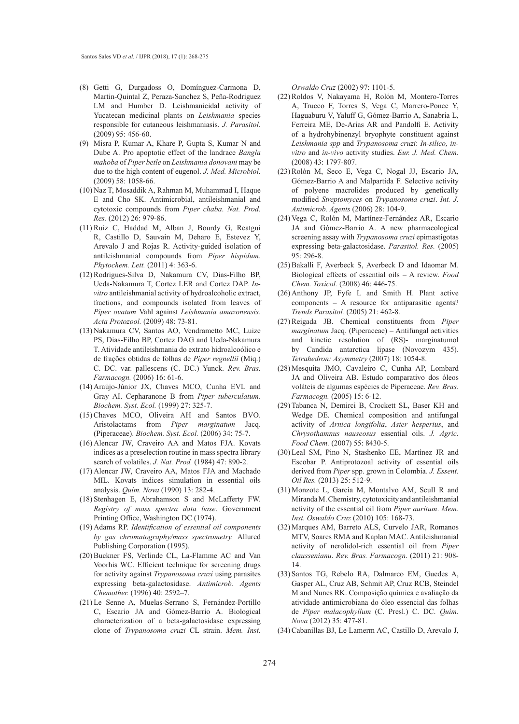- (8) Getti G, Durgadoss O, Domínguez-Carmona D, Martin-Quintal Z, Peraza-Sanchez S, Peña-Rodriguez LM and Humber D. Leishmanicidal activity of Yucatecan medicinal plants on *Leishmania* species responsible for cutaneous leishmaniasis. *J. Parasitol.* (2009) 95: 456-60.
- Misra P, Kumar A, Khare P, Gupta S, Kumar N and (9) Dube A. Pro apoptotic effect of the landrace *Bangla mahoba* of *Piper betle* on *Leishmania donovani* may be due to the high content of eugenol. *J. Med. Microbiol.* (2009) 58: 1058-66.
- (10) Naz T, Mosaddik A, Rahman M, Muhammad I, Haque E and Cho SK. Antimicrobial, antileishmanial and cytotoxic compounds from *Piper chaba*. *Nat. Prod. Res.* (2012) 26: 979-86.
- (11) Ruiz C, Haddad M, Alban J, Bourdy G, Reatgui R, Castillo D, Sauvain M, Deharo E, Estevez Y, Arevalo J and Rojas R. Activity-guided isolation of antileishmanial compounds from *Piper hispidum*. *Phytochem. Lett.* (2011) 4: 363-6.
- (12) Rodrigues-Silva D, Nakamura CV, Dias-Filho BP, Ueda-Nakamura T, Cortez LER and Cortez DAP. *Invitro* antileishmanial activity of hydroalcoholic extract, fractions, and compounds isolated from leaves of *Piper ovatum* Vahl against *Leishmania amazonensis*. *Acta Protozool.* (2009) 48: 73-81.
- (13) Nakamura CV, Santos AO, Vendrametto MC, Luize PS, Dias-Filho BP, Cortez DAG and Ueda-Nakamura T. Atividade antileishmania do extrato hidroalcoólico e de frações obtidas de folhas de *Piper regnellii* (Miq.) C. DC. var. pallescens (C. DC.) Yunck. *Rev. Bras. Farmacogn.* (2006) 16: 61-6.
- (14) Araújo-Júnior JX, Chaves MCO, Cunha EVL and Gray AI. Cepharanone B from *Piper tuberculatum*. *Biochem. Syst. Ecol.* (1999) 27: 325-7.
- (15) Chaves MCO, Oliveira AH and Santos BVO. Aristolactams from *Piper marginatum* Jacq. (Piperaceae). *Biochem. Syst. Ecol.* (2006) 34: 75-7.
- (16) Alencar JW, Craveiro AA and Matos FJA. Kovats indices as a preselection routine in mass spectra library search of volatiles. *J. Nat. Prod.* (1984) 47: 890-2.
- (17) Alencar JW, Craveiro AA, Matos FJA and Machado MIL. Kovats indices simulation in essential oils analysis. *Quím. Nova* (1990) 13: 282-4.
- (18) Stenhagen E, Abrahamson S and McLafferty FW. *Registry of mass spectra data base*. Government Printing Office, Washington DC (1974).
- Adams RP. *Identification of essential oil components*  (19) *by gas chromatography/mass spectrometry.* Allured Publishing Corporation (1995).
- (20) Buckner FS, Verlinde CL, La-Flamme AC and Van Voorhis WC. Efficient technique for screening drugs for activity against *Trypanosoma cruzi* using parasites expressing beta-galactosidase. *Antimicrob. Agents Chemother.* (1996) 40: 2592–7.
- (21) Le Senne A, Muelas-Serrano S, Fernández-Portillo C, Escario JA and Gómez-Barrio A. Biological characterization of a beta-galactosidase expressing clone of *Trypanosoma cruzi* CL strain. *Mem. Inst.*

*Oswaldo Cruz* (2002) 97: 1101-5.

- (22) Roldos V, Nakayama H, Rolón M, Montero-Torres A, Trucco F, Torres S, Vega C, Marrero-Ponce Y, Haguaburu V, Yaluff G, Gómez-Barrio A, Sanabria L, Ferreira ME, De-Arias AR and Pandolfi E. Activity of a hydrohybinenzyl bryophyte constituent against *Leishmania spp* and *Trypanosoma cruzi*: *In-silico, invitro* and *in-vivo* activity studies. *Eur. J. Med. Chem.* (2008) 43: 1797-807.
- (23) Rolón M, Seco E, Vega C, Nogal JJ, Escario JA, Gómez-Barrio A and Malpartida F. Selective activity of polyene macrolides produced by genetically modified *Streptomyces* on *Trypanosoma cruzi*. *Int. J. Antimicrob. Agents* (2006) 28: 104-9.
- (24) Vega C, Rolón M, Martínez-Fernández AR, Escario JA and Gómez-Barrio A. A new pharmacological screening assay with *Trypanosoma cruzi* epimastigotas expressing beta-galactosidase. *Parasitol. Res.* (2005) 95: 296-8.
- $(25)$  Bakalli F, Averbeck S, Averbeck D and Idaomar M. Biological effects of essential oils – A review. *Food Chem. Toxicol.* (2008) 46: 446-75.
- $(26)$  Anthony JP, Fyfe L and Smith H. Plant active components – A resource for antiparasitic agents? *Trends Parasitol.* (2005) 21: 462-8.
- (27) Reigada JB. Chemical constituents from *Piper marginatum* Jacq. (Piperaceae) – Antifungal activities and kinetic resolution of (RS)- marginatumol by Candida antarctica lipase (Novozym 435). *Tetrahedron: Asymmetry* (2007) 18: 1054-8.
- Mesquita JMO, Cavaleiro C, Cunha AP, Lombard (28) JA and Oliveira AB. Estudo comparativo dos óleos voláteis de algumas espécies de Piperaceae. *Rev. Bras. Farmacogn.* (2005) 15: 6-12.
- (29) Tabanca N, Demirci B, Crockett SL, Baser KH and Wedge DE. Chemical composition and antifungal activity of *Arnica longifolia*, *Aster hesperius*, and *Chrysothamnus nauseosus* essential oils. *J. Agric. Food Chem.* (2007) 55: 8430-5.
- (30) Leal SM, Pino N, Stashenko EE, Martínez JR and Escobar P. Antiprotozoal activity of essential oils derived from *Piper* spp. grown in Colombia. *J. Essent. Oil Res.* (2013) 25: 512-9.
- Monzote L, García M, Montalvo AM, Scull R and (31) Miranda M. Chemistry, cytotoxicity and antileishmanial activity of the essential oil from *Piper auritum*. *Mem. Inst. Oswaldo Cruz* (2010) 105: 168-73.
- (32) Marques AM, Barreto ALS, Curvelo JAR, Romanos MTV, Soares RMA and Kaplan MAC. Antileishmanial activity of nerolidol-rich essential oil from *Piper claussenianu*. *Rev. Bras. Farmacogn*. (2011) 21: 908- 14.
- (33) Santos TG, Rebelo RA, Dalmarco EM, Guedes A, Gasper AL, Cruz AB, Schmit AP, Cruz RCB, Steindel M and Nunes RK. Composição química e avaliação da atividade antimicrobiana do óleo essencial das folhas de *Piper malacophyllum* (C. Presl.) C. DC. *Quím. Nova* (2012) 35: 477-81.
- Cabanillas BJ, Le Lamerm AC, Castillo D, Arevalo J, (34)